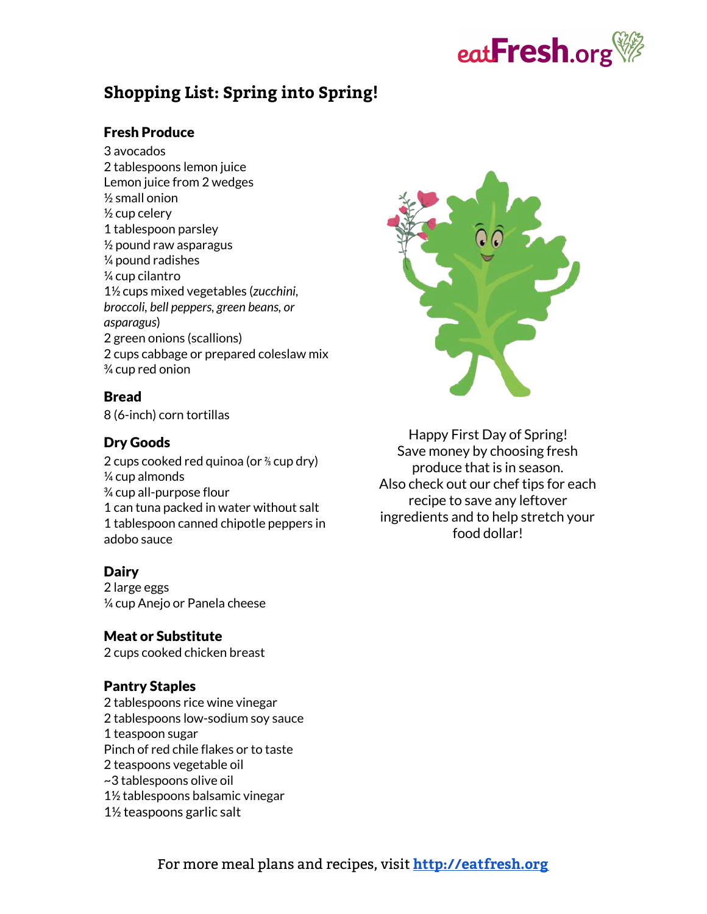

### **Shopping List: Spring into Spring!**

#### Fresh Produce

3 avocados 2 tablespoons lemon juice Lemon juice from 2 wedges ½ small onion  $\frac{1}{2}$  cup celery 1 tablespoon parsley  $\frac{1}{2}$  pound raw asparagus ¼ pound radishes ¼ cup cilantro 1½ cups mixed vegetables (*zucchini, broccoli, bell peppers, green beans, or asparagus*) 2 green onions (scallions) 2 cups cabbage or prepared coleslaw mix ¾ cup red onion

#### Bread

8 (6-inch) corn tortillas

#### Dry Goods

2 cups cooked red quinoa (or ⅔ cup dry) ¼ cup almonds ¾ cup all-purpose flour 1 can tuna packed in water without salt 1 tablespoon canned chipotle peppers in adobo sauce

#### Dairy

2 large eggs ¼ cup Anejo or Panela cheese

#### Meat or Substitute

2 cups cooked chicken breast

#### Pantry Staples

2 tablespoons rice wine vinegar 2 tablespoons low-sodium soy sauce 1 teaspoon sugar Pinch of red chile flakes or to taste 2 teaspoons vegetable oil ~3 tablespoons olive oil 1½ tablespoons balsamic vinegar 1½ teaspoons garlic salt



Happy First Day of Spring! Save money by choosing fresh produce that is in season. Also check out our chef tips for each recipe to save any leftover ingredients and to help stretch your food dollar!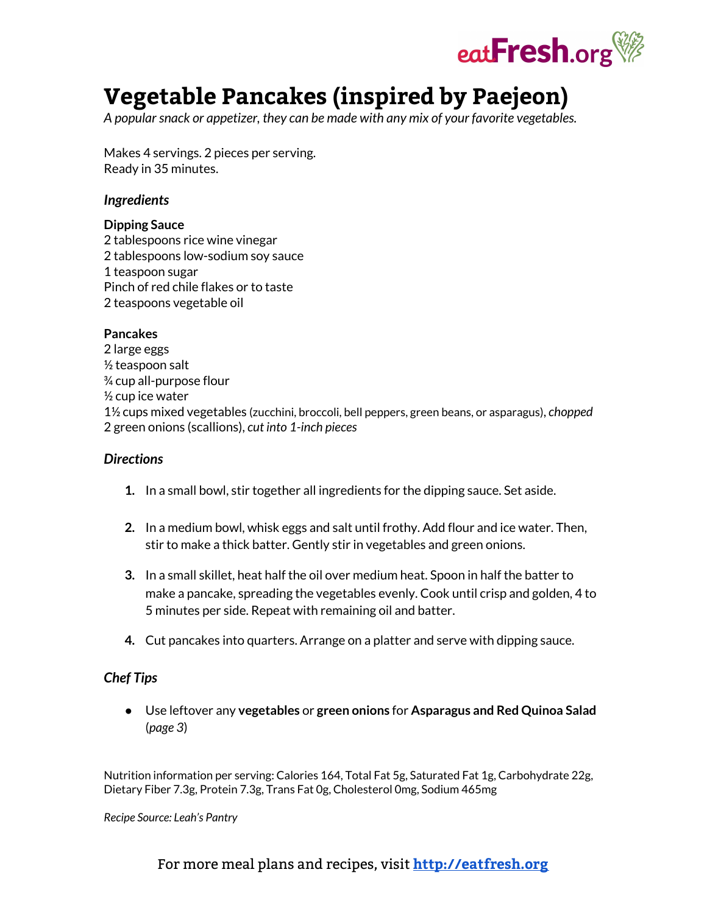

# **Vegetable Pancakes (inspired by Paejeon)**

*<sup>A</sup> popularsnack or appetizer, they can be made with any mix of your favorite vegetable[s.](http://eatfresh.org/recipe/dietary/vegetarian)*

Makes 4 servings. 2 pieces per serving. Ready in 35 minutes.

#### *Ingredients*

#### **Dipping Sauce**

 tablespoons rice wine vinegar tablespoons low-sodium soy sauce teaspoon sugar Pinch of red chile flakes or to taste teaspoons vegetable oil

#### **Pancakes**

2 large eggs  $\frac{1}{2}$  teaspoon salt ¾ cup all-purpose flour ½ cup ice water 1½ cups mixed vegetables (zucchini, broccoli, bell peppers, green beans, or asparagus), *chopped* 2 green onions (scallions), *cut into 1-inch pieces*

#### *Directions*

- **1.** In a small bowl, stir together all ingredients for the dipping sauce. Set aside.
- **2.** In a medium bowl, whisk eggs and salt until frothy. Add flour and ice water. Then, stir to make a thick batter. Gently stir in vegetables and green onions.
- **3.** In a small skillet, heat half the oil over medium heat. Spoon in half the batter to make a pancake, spreading the vegetables evenly. Cook until crisp and golden, 4 to 5 minutes per side. Repeat with remaining oil and batter.
- **4.** Cut pancakes into quarters. Arrange on a platter and serve with dipping sauce.

#### *Chef Tips*

● Use leftover any **vegetables** or **green onions** for **Asparagus and Red Quinoa Salad** (*page 3*)

Nutrition information per serving: Calories 164, Total Fat 5g, Saturated Fat 1g, Carbohydrate 22g, Dietary Fiber 7.3g, Protein 7.3g, Trans Fat 0g, Cholesterol 0mg, Sodium 465mg

*Recipe Source: Leah's Pantry*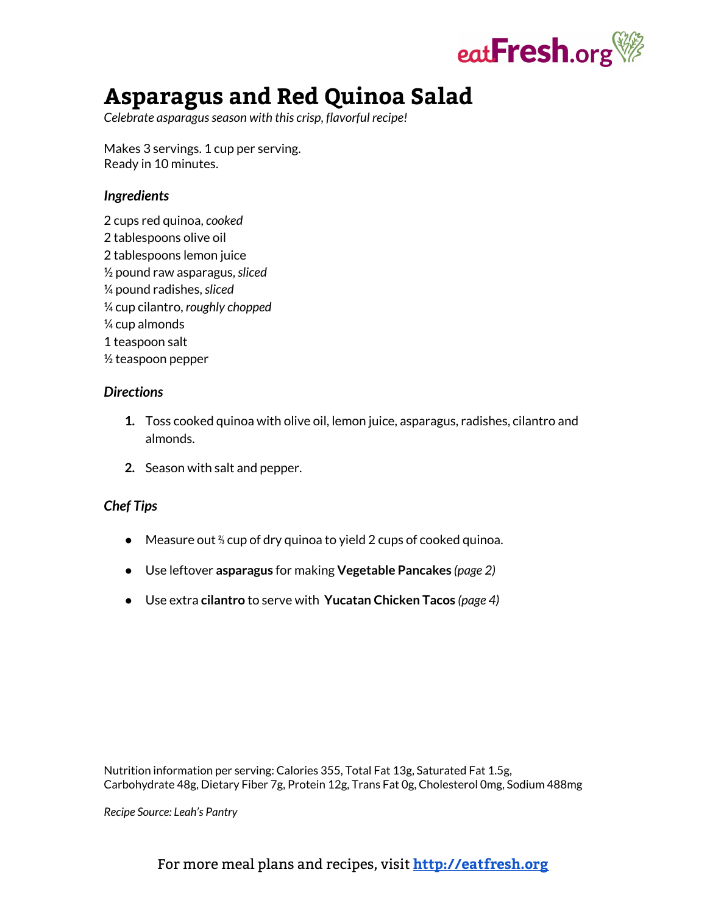

## **Asparagus and Red Quinoa Salad**

*Celebrate asparagusseason with this crisp, flavorful recipe!*

Makes 3 servings. 1 cup per serving. Ready in 10 minutes.

#### *Ingredients*

2 cups red quinoa, *cooked* 2 tablespoons olive oil 2 tablespoons lemon juice ½ pound raw asparagus,*sliced* ¼ pound radishes,*sliced* ¼ cup cilantro, *roughly chopped* ¼ cup almonds 1 teaspoon salt ½ teaspoon pepper

#### *Directions*

- **1.** Toss cooked quinoa with olive oil, lemon juice, asparagus, radishes, cilantro and almonds.
- **2.** Season with salt and pepper.

#### *Chef Tips*

- Measure out <sup>%</sup> cup of dry quinoa to yield 2 cups of cooked quinoa.
- Use leftover **asparagus** for making **Vegetable Pancakes** *(page 2)*
- Use extra **cilantro** to serve with **Yucatan Chicken Tacos** *(page 4)*

Nutrition information per serving: Calories 355, Total Fat 13g, Saturated Fat 1.5g, Carbohydrate 48g, Dietary Fiber 7g, Protein 12g, Trans Fat 0g, Cholesterol 0mg, Sodium 488mg

*Recipe Source: Leah's Pantry*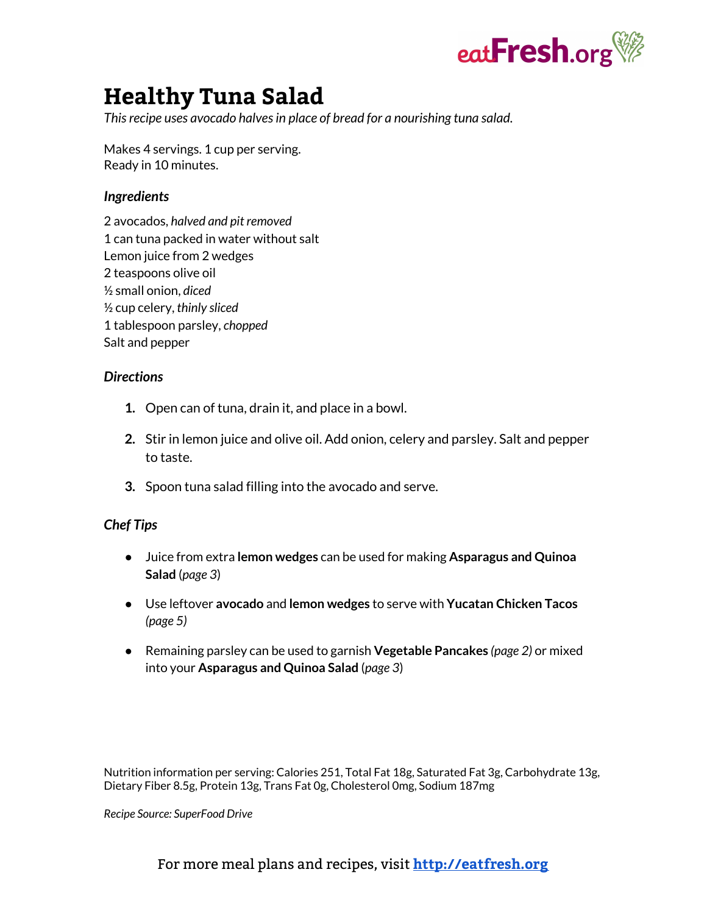

### **Healthy Tuna Salad**

*Thisrecipe uses avocado halvesin place of bread for a nourishing tuna salad.*

Makes 4 servings. 1 cup per serving. Ready in 10 minutes.

#### *Ingredients*

2 avocados, *halved and pit removed* 1 can tuna packed in water without salt Lemon juice from 2 wedges 2 teaspoons olive oil ½ small onion, *diced* ½ cup celery, *thinly sliced* 1 tablespoon parsley, *chopped* Salt and pepper

#### *Directions*

- **1.** Open can of tuna, drain it, and place in a bowl.
- **2.** Stir in lemon juice and olive oil. Add onion, celery and parsley. Salt and pepper to taste.
- **3.** Spoon tuna salad filling into the avocado and serve.

#### *Chef Tips*

- Juice from extra **lemon wedges** can be used for making **Asparagus and Quinoa Salad** (*page 3*)
- **•** Use leftover avocado and lemon wedges to serve with Yucatan Chicken Tacos *(page 5)*
- Remaining parsley can be used to garnish **Vegetable Pancakes** *(page 2)* or mixed into your **Asparagus and Quinoa Salad** (*page 3*)

Nutrition information per serving: Calories 251, Total Fat 18g, Saturated Fat 3g, Carbohydrate 13g, Dietary Fiber 8.5g, Protein 13g, Trans Fat 0g, Cholesterol 0mg, Sodium 187mg

*Recipe Source: SuperFood Drive*